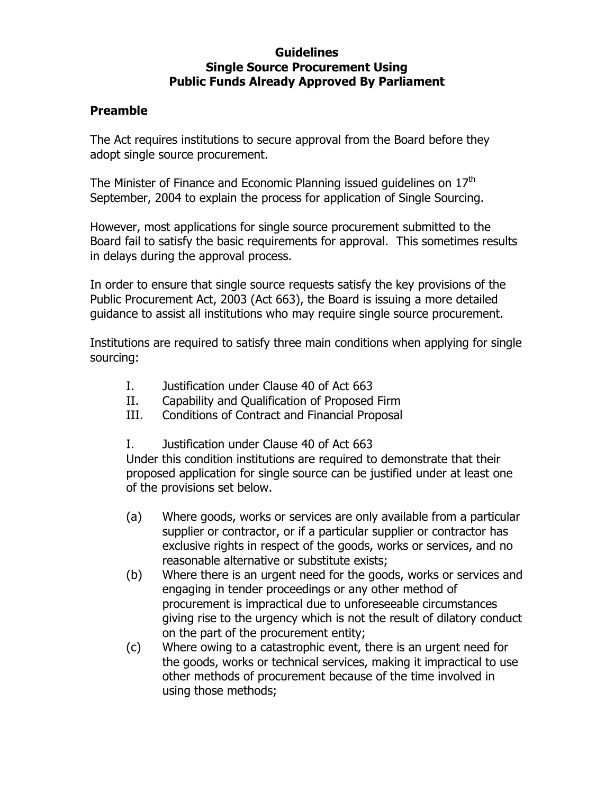## **Guidelines Single Source Procurement Using Public Funds Already Approved By Parliament**

## **Preamble**

The Act requires institutions to secure approval from the Board before they adopt single source procurement.

The Minister of Finance and Economic Planning issued guidelines on 17<sup>th</sup> September, 2004 to explain the process for application of Single Sourcing.

However, most applications for single source procurement submitted to the Board fail to satisfy the basic requirements for approval. This sometimes results in delays during the approval process.

In order to ensure that single source requests satisfy the key provisions of the Public Procurement Act, 2003 (Act 663), the Board is issuing a more detailed guidance to assist all institutions who may require single source procurement.

Institutions are required to satisfy three main conditions when applying for single sourcing:

- I. Justification under Clause 40 of Act 663
- II. Capability and Qualification of Proposed Firm
- III. Conditions of Contract and Financial Proposal
- I. Justification under Clause 40 of Act 663

Under this condition institutions are required to demonstrate that their proposed application for single source can be justified under at least one of the provisions set below.

- (a) Where goods, works or services are only available from a particular supplier or contractor, or if a particular supplier or contractor has exclusive rights in respect of the goods, works or services, and no reasonable alternative or substitute exists;
- (b) Where there is an urgent need for the goods, works or services and engaging in tender proceedings or any other method of procurement is impractical due to unforeseeable circumstances giving rise to the urgency which is not the result of dilatory conduct on the part of the procurement entity;
- (c) Where owing to a catastrophic event, there is an urgent need for the goods, works or technical services, making it impractical to use other methods of procurement because of the time involved in using those methods;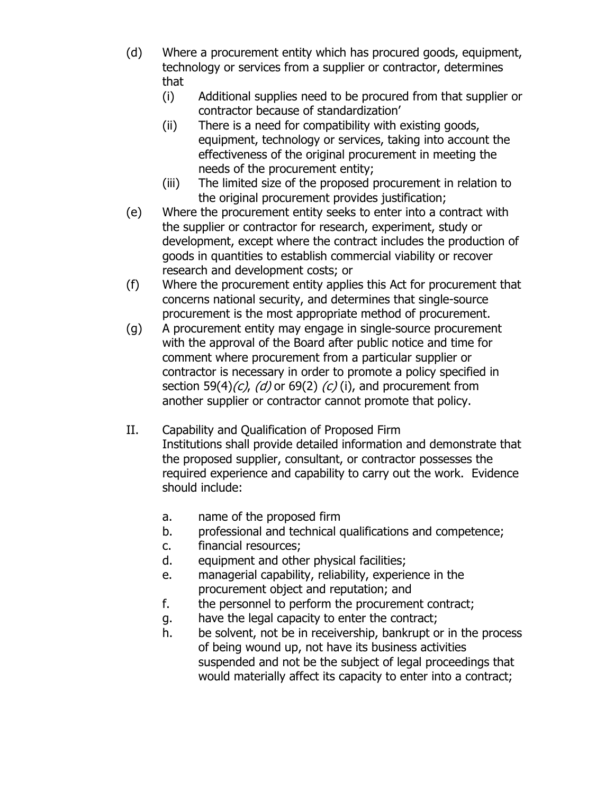- (d) Where a procurement entity which has procured goods, equipment, technology or services from a supplier or contractor, determines that
	- (i) Additional supplies need to be procured from that supplier or contractor because of standardization'
	- (ii) There is a need for compatibility with existing goods, equipment, technology or services, taking into account the effectiveness of the original procurement in meeting the needs of the procurement entity;
	- (iii) The limited size of the proposed procurement in relation to the original procurement provides justification;
- (e) Where the procurement entity seeks to enter into a contract with the supplier or contractor for research, experiment, study or development, except where the contract includes the production of goods in quantities to establish commercial viability or recover research and development costs; or
- (f) Where the procurement entity applies this Act for procurement that concerns national security, and determines that single-source procurement is the most appropriate method of procurement.
- (g) A procurement entity may engage in single-source procurement with the approval of the Board after public notice and time for comment where procurement from a particular supplier or contractor is necessary in order to promote a policy specified in section 59(4) $(c)$ ,  $(d)$  or 69(2)  $(c)$  (i), and procurement from another supplier or contractor cannot promote that policy.
- II. Capability and Qualification of Proposed Firm Institutions shall provide detailed information and demonstrate that the proposed supplier, consultant, or contractor possesses the required experience and capability to carry out the work. Evidence should include:
	- a. name of the proposed firm
	- b. professional and technical qualifications and competence;
	- c. financial resources;
	- d. equipment and other physical facilities;
	- e. managerial capability, reliability, experience in the procurement object and reputation; and
	- f. the personnel to perform the procurement contract;
	- g. have the legal capacity to enter the contract;
	- h. be solvent, not be in receivership, bankrupt or in the process of being wound up, not have its business activities suspended and not be the subject of legal proceedings that would materially affect its capacity to enter into a contract;